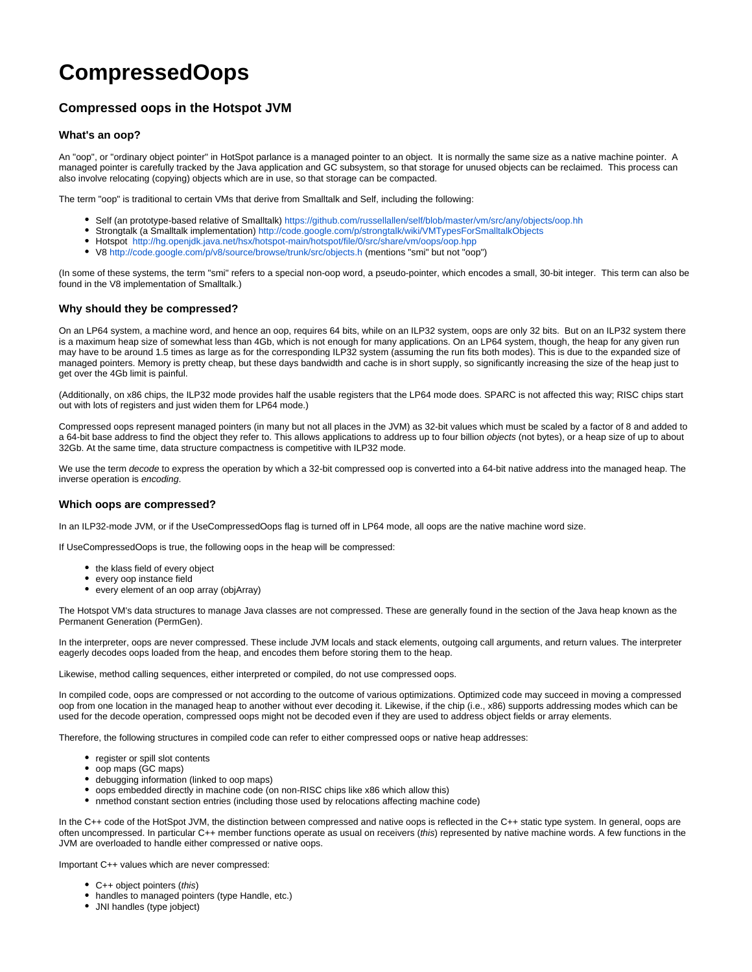# **CompressedOops**

# **Compressed oops in the Hotspot JVM**

## **What's an oop?**

An "oop", or "ordinary object pointer" in HotSpot parlance is a managed pointer to an object. It is normally the same size as a native machine pointer. A managed pointer is carefully tracked by the Java application and GC subsystem, so that storage for unused objects can be reclaimed. This process can also involve relocating (copying) objects which are in use, so that storage can be compacted.

The term "oop" is traditional to certain VMs that derive from Smalltalk and Self, including the following:

- Self (an prototype-based relative of Smalltalk) <https://github.com/russellallen/self/blob/master/vm/src/any/objects/oop.hh>
- Strongtalk (a Smalltalk implementation) <http://code.google.com/p/strongtalk/wiki/VMTypesForSmalltalkObjects>
- Hotspot <http://hg.openjdk.java.net/hsx/hotspot-main/hotspot/file/0/src/share/vm/oops/oop.hpp>
- V8<http://code.google.com/p/v8/source/browse/trunk/src/objects.h> (mentions "smi" but not "oop")

(In some of these systems, the term "smi" refers to a special non-oop word, a pseudo-pointer, which encodes a small, 30-bit integer. This term can also be found in the V8 implementation of Smalltalk.)

## **Why should they be compressed?**

On an LP64 system, a machine word, and hence an oop, requires 64 bits, while on an ILP32 system, oops are only 32 bits. But on an ILP32 system there is a maximum heap size of somewhat less than 4Gb, which is not enough for many applications. On an LP64 system, though, the heap for any given run may have to be around 1.5 times as large as for the corresponding ILP32 system (assuming the run fits both modes). This is due to the expanded size of managed pointers. Memory is pretty cheap, but these days bandwidth and cache is in short supply, so significantly increasing the size of the heap just to get over the 4Gb limit is painful.

(Additionally, on x86 chips, the ILP32 mode provides half the usable registers that the LP64 mode does. SPARC is not affected this way; RISC chips start out with lots of registers and just widen them for LP64 mode.)

Compressed oops represent managed pointers (in many but not all places in the JVM) as 32-bit values which must be scaled by a factor of 8 and added to a 64-bit base address to find the object they refer to. This allows applications to address up to four billion objects (not bytes), or a heap size of up to about 32Gb. At the same time, data structure compactness is competitive with ILP32 mode.

We use the term decode to express the operation by which a 32-bit compressed oop is converted into a 64-bit native address into the managed heap. The inverse operation is encoding.

#### **Which oops are compressed?**

In an ILP32-mode JVM, or if the UseCompressedOops flag is turned off in LP64 mode, all oops are the native machine word size.

If UseCompressedOops is true, the following oops in the heap will be compressed:

- the klass field of every object
- every oop instance field
- every element of an oop array (objArray)

The Hotspot VM's data structures to manage Java classes are not compressed. These are generally found in the section of the Java heap known as the Permanent Generation (PermGen).

In the interpreter, oops are never compressed. These include JVM locals and stack elements, outgoing call arguments, and return values. The interpreter eagerly decodes oops loaded from the heap, and encodes them before storing them to the heap.

Likewise, method calling sequences, either interpreted or compiled, do not use compressed oops.

In compiled code, oops are compressed or not according to the outcome of various optimizations. Optimized code may succeed in moving a compressed oop from one location in the managed heap to another without ever decoding it. Likewise, if the chip (i.e., x86) supports addressing modes which can be used for the decode operation, compressed oops might not be decoded even if they are used to address object fields or array elements.

Therefore, the following structures in compiled code can refer to either compressed oops or native heap addresses:

- register or spill slot contents
- oop maps (GC maps)
- debugging information (linked to oop maps)
- oops embedded directly in machine code (on non-RISC chips like x86 which allow this)
- nmethod constant section entries (including those used by relocations affecting machine code)

In the C++ code of the HotSpot JVM, the distinction between compressed and native oops is reflected in the C++ static type system. In general, oops are often uncompressed. In particular C++ member functions operate as usual on receivers (this) represented by native machine words. A few functions in the JVM are overloaded to handle either compressed or native oops.

Important C++ values which are never compressed:

- C++ object pointers (this)
- handles to managed pointers (type Handle, etc.)
- JNI handles (type jobject)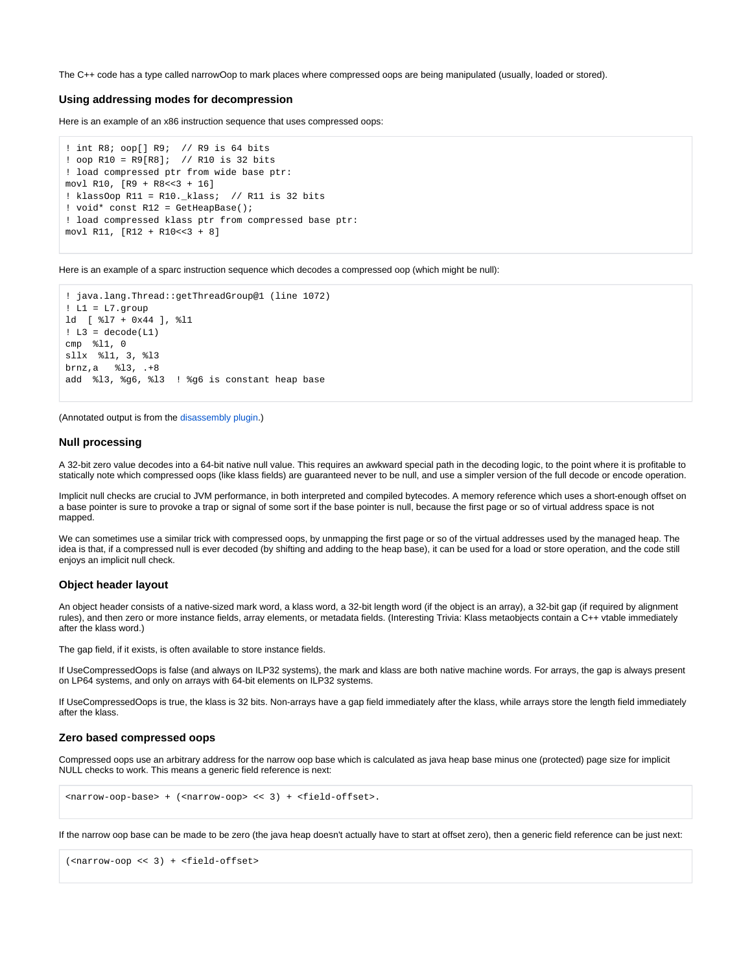The C++ code has a type called narrowOop to mark places where compressed oops are being manipulated (usually, loaded or stored).

#### **Using addressing modes for decompression**

Here is an example of an x86 instruction sequence that uses compressed oops:

```
! int R8; oop[] R9; // R9 is 64 bits
! oop R10 = R9[R8]; // R10 is 32 bits
! load compressed ptr from wide base ptr:
movl R10, [R9 + R8<<3 + 16]
! klassOop R11 = R10._klass; // R11 is 32 bits
! void* const R12 = GetHeapBase();
! load compressed klass ptr from compressed base ptr:
movl R11, [R12 + R10<<3 + 8]
```
Here is an example of a sparc instruction sequence which decodes a compressed oop (which might be null):

```
! java.lang.Thread::getThreadGroup@1 (line 1072)
! L1 = L7.group
ld [ %l7 + 0x44 ], %l1
! L3 = decode(L1)
cmp %l1, 0
sllx %l1, 3, %l3
brnz,a %l3, .+8
add %l3, %g6, %l3 ! %g6 is constant heap base
```
(Annotated output is from the [disassembly plugin](https://wiki.openjdk.org/display/HotSpot/PrintAssembly).)

#### **Null processing**

A 32-bit zero value decodes into a 64-bit native null value. This requires an awkward special path in the decoding logic, to the point where it is profitable to statically note which compressed oops (like klass fields) are guaranteed never to be null, and use a simpler version of the full decode or encode operation.

Implicit null checks are crucial to JVM performance, in both interpreted and compiled bytecodes. A memory reference which uses a short-enough offset on a base pointer is sure to provoke a trap or signal of some sort if the base pointer is null, because the first page or so of virtual address space is not mapped.

We can sometimes use a similar trick with compressed oops, by unmapping the first page or so of the virtual addresses used by the managed heap. The idea is that, if a compressed null is ever decoded (by shifting and adding to the heap base), it can be used for a load or store operation, and the code still enjoys an implicit null check.

#### **Object header layout**

An object header consists of a native-sized mark word, a klass word, a 32-bit length word (if the object is an array), a 32-bit gap (if required by alignment rules), and then zero or more instance fields, array elements, or metadata fields. (Interesting Trivia: Klass metaobjects contain a C++ vtable immediately after the klass word.)

The gap field, if it exists, is often available to store instance fields.

If UseCompressedOops is false (and always on ILP32 systems), the mark and klass are both native machine words. For arrays, the gap is always present on LP64 systems, and only on arrays with 64-bit elements on ILP32 systems.

If UseCompressedOops is true, the klass is 32 bits. Non-arrays have a gap field immediately after the klass, while arrays store the length field immediately after the klass.

#### **Zero based compressed oops**

Compressed oops use an arbitrary address for the narrow oop base which is calculated as java heap base minus one (protected) page size for implicit NULL checks to work. This means a generic field reference is next:

```
<narrow-oop-base> + (<narrow-oop> << 3) + <field-offset>.
```
If the narrow oop base can be made to be zero (the java heap doesn't actually have to start at offset zero), then a generic field reference can be just next:

```
(<narrow-oop << 3) + <field-offset>
```